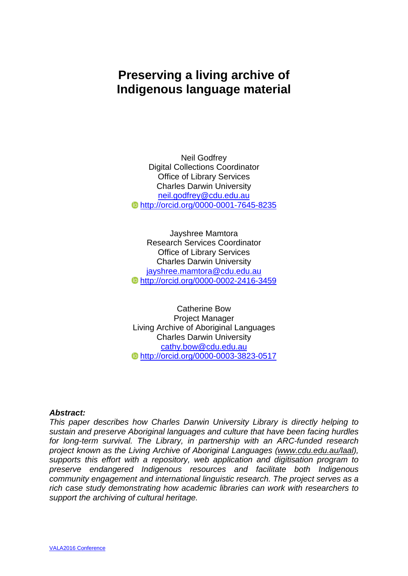# **Preserving a living archive of Indigenous language material**

Neil Godfrey Digital Collections Coordinator Office of Library Services Charles Darwin University [neil.godfrey@cdu.edu.au](mailto:neil.godfrey@cdu.edu.au) <http://orcid.org/0000-0001-7645-8235>

Jayshree Mamtora Research Services Coordinator Office of Library Services Charles Darwin University [jayshree.mamtora@cdu.edu.au](mailto:jayshree.mamtora@cdu.edu.au) <http://orcid.org/0000-0002-2416-3459>

Catherine Bow Project Manager Living Archive of Aboriginal Languages Charles Darwin University [cathy.bow@cdu.edu.au](mailto:cathy.bow@cdu.edu.au) <http://orcid.org/0000-0003-3823-0517>

#### *Abstract:*

*This paper describes how Charles Darwin University Library is directly helping to sustain and preserve Aboriginal languages and culture that have been facing hurdles for long-term survival. The Library, in partnership with an ARC-funded research project known as the Living Archive of Aboriginal Languages [\(www.cdu.edu.au/laal\)](http://www.cdu.edu.au/laal), supports this effort with a repository, web application and digitisation program to preserve endangered Indigenous resources and facilitate both Indigenous community engagement and international linguistic research. The project serves as a rich case study demonstrating how academic libraries can work with researchers to support the archiving of cultural heritage.*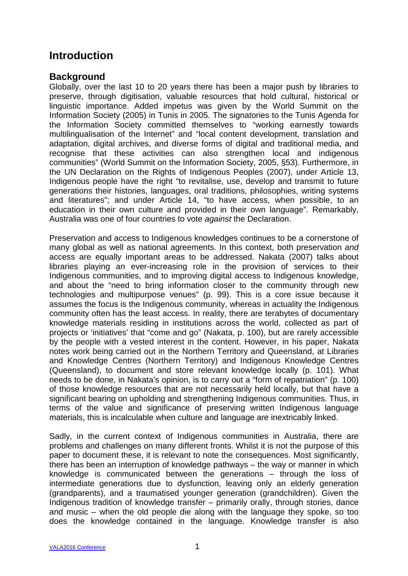## **Introduction**

### **Background**

Globally, over the last 10 to 20 years there has been a major push by libraries to preserve, through digitisation, valuable resources that hold cultural, historical or linguistic importance. Added impetus was given by the World Summit on the Information Society (2005) in Tunis in 2005. The signatories to the Tunis Agenda for the Information Society committed themselves to "working earnestly towards multilingualisation of the Internet" and "local content development, translation and adaptation, digital archives, and diverse forms of digital and traditional media, and recognise that these activities can also strengthen local and indigenous communities" (World Summit on the Information Society, 2005, §53). Furthermore, in the UN Declaration on the Rights of Indigenous Peoples (2007), under Article 13, Indigenous people have the right "to revitalise, use, develop and transmit to future generations their histories, languages, oral traditions, philosophies, writing systems and literatures"; and under Article 14, "to have access, when possible, to an education in their own culture and provided in their own language". Remarkably, Australia was one of four countries to vote *against* the Declaration.

Preservation and access to Indigenous knowledges continues to be a cornerstone of many global as well as national agreements. In this context, both preservation *and* access are equally important areas to be addressed. Nakata (2007) talks about libraries playing an ever-increasing role in the provision of services to their Indigenous communities, and to improving digital access to Indigenous knowledge, and about the "need to bring information closer to the community through new technologies and multipurpose venues" (p. 99). This is a core issue because it assumes the focus is the Indigenous community, whereas in actuality the Indigenous community often has the least access. In reality, there are terabytes of documentary knowledge materials residing in institutions across the world, collected as part of projects or 'initiatives' that "come and go" (Nakata, p. 100), but are rarely accessible by the people with a vested interest in the content. However, in his paper, Nakata notes work being carried out in the Northern Territory and Queensland, at Libraries and Knowledge Centres (Northern Territory) and Indigenous Knowledge Centres (Queensland), to document and store relevant knowledge locally (p. 101). What needs to be done, in Nakata's opinion, is to carry out a "form of repatriation" (p. 100) of those knowledge resources that are not necessarily held locally, but that have a significant bearing on upholding and strengthening Indigenous communities. Thus, in terms of the value and significance of preserving written Indigenous language materials, this is incalculable when culture and language are inextricably linked.

Sadly, in the current context of Indigenous communities in Australia, there are problems and challenges on many different fronts. Whilst it is not the purpose of this paper to document these, it is relevant to note the consequences. Most significantly, there has been an interruption of knowledge pathways – the way or manner in which knowledge is communicated between the generations – through the loss of intermediate generations due to dysfunction, leaving only an elderly generation (grandparents), and a traumatised younger generation (grandchildren). Given the Indigenous tradition of knowledge transfer – primarily orally, through stories, dance and music – when the old people die along with the language they spoke, so too does the knowledge contained in the language. Knowledge transfer is also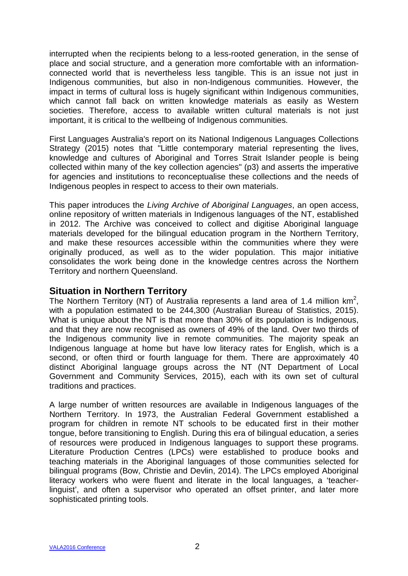interrupted when the recipients belong to a less-rooted generation, in the sense of place and social structure, and a generation more comfortable with an informationconnected world that is nevertheless less tangible. This is an issue not just in Indigenous communities, but also in non-Indigenous communities. However, the impact in terms of cultural loss is hugely significant within Indigenous communities, which cannot fall back on written knowledge materials as easily as Western societies. Therefore, access to available written cultural materials is not just important, it is critical to the wellbeing of Indigenous communities.

First Languages Australia's report on its National Indigenous Languages Collections Strategy (2015) notes that "Little contemporary material representing the lives, knowledge and cultures of Aboriginal and Torres Strait Islander people is being collected within many of the key collection agencies" (p3) and asserts the imperative for agencies and institutions to reconceptualise these collections and the needs of Indigenous peoples in respect to access to their own materials.

This paper introduces the *Living Archive of Aboriginal Languages*, an open access, online repository of written materials in Indigenous languages of the NT, established in 2012. The Archive was conceived to collect and digitise Aboriginal language materials developed for the bilingual education program in the Northern Territory, and make these resources accessible within the communities where they were originally produced, as well as to the wider population. This major initiative consolidates the work being done in the knowledge centres across the Northern Territory and northern Queensland.

#### **Situation in Northern Territory**

The Northern Territory (NT) of Australia represents a land area of 1.4 million  $km^2$ , with a population estimated to be 244,300 (Australian Bureau of Statistics, 2015). What is unique about the NT is that more than 30% of its population is Indigenous, and that they are now recognised as owners of 49% of the land. Over two thirds of the Indigenous community live in remote communities. The majority speak an Indigenous language at home but have low literacy rates for English, which is a second, or often third or fourth language for them. There are approximately 40 distinct Aboriginal language groups across the NT (NT Department of Local Government and Community Services, 2015), each with its own set of cultural traditions and practices.

A large number of written resources are available in Indigenous languages of the Northern Territory. In 1973, the Australian Federal Government established a program for children in remote NT schools to be educated first in their mother tongue, before transitioning to English. During this era of bilingual education, a series of resources were produced in Indigenous languages to support these programs. Literature Production Centres (LPCs) were established to produce books and teaching materials in the Aboriginal languages of those communities selected for bilingual programs (Bow, Christie and Devlin, 2014). The LPCs employed Aboriginal literacy workers who were fluent and literate in the local languages, a 'teacherlinguist', and often a supervisor who operated an offset printer, and later more sophisticated printing tools.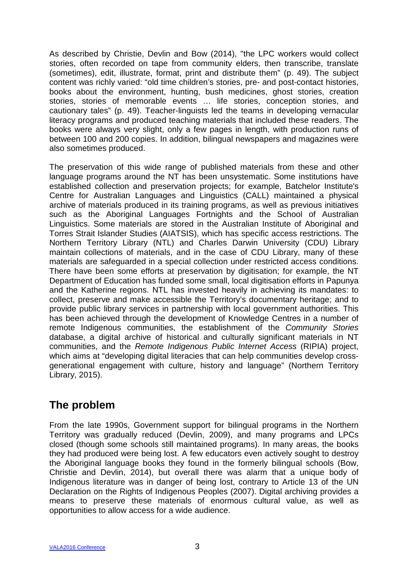As described by Christie, Devlin and Bow (2014), "the LPC workers would collect stories, often recorded on tape from community elders, then transcribe, translate (sometimes), edit, illustrate, format, print and distribute them" (p. 49). The subject content was richly varied: "old time children's stories, pre- and post-contact histories, books about the environment, hunting, bush medicines, ghost stories, creation stories, stories of memorable events … life stories, conception stories, and cautionary tales" (p. 49). Teacher-linguists led the teams in developing vernacular literacy programs and produced teaching materials that included these readers. The books were always very slight, only a few pages in length, with production runs of between 100 and 200 copies. In addition, bilingual newspapers and magazines were also sometimes produced.

The preservation of this wide range of published materials from these and other language programs around the NT has been unsystematic. Some institutions have established collection and preservation projects; for example, Batchelor Institute's Centre for Australian Languages and Linguistics (CALL) maintained a physical archive of materials produced in its training programs, as well as previous initiatives such as the Aboriginal Languages Fortnights and the School of Australian Linguistics. Some materials are stored in the Australian Institute of Aboriginal and Torres Strait Islander Studies (AIATSIS), which has specific access restrictions. The Northern Territory Library (NTL) and Charles Darwin University (CDU) Library maintain collections of materials, and in the case of CDU Library, many of these materials are safeguarded in a special collection under restricted access conditions. There have been some efforts at preservation by digitisation; for example, the NT Department of Education has funded some small, local digitisation efforts in Papunya and the Katherine regions. NTL has invested heavily in achieving its mandates: to collect, preserve and make accessible the Territory's documentary heritage; and to provide public library services in partnership with local government authorities. This has been achieved through the development of Knowledge Centres in a number of remote Indigenous communities, the establishment of the *Community Stories* database, a digital archive of historical and culturally significant materials in NT communities, and the *Remote Indigenous Public Internet Access* (RIPIA) project, which aims at "developing digital literacies that can help communities develop crossgenerational engagement with culture, history and language" (Northern Territory Library, 2015).

# **The problem**

From the late 1990s, Government support for bilingual programs in the Northern Territory was gradually reduced (Devlin, 2009), and many programs and LPCs closed (though some schools still maintained programs). In many areas, the books they had produced were being lost. A few educators even actively sought to destroy the Aboriginal language books they found in the formerly bilingual schools (Bow, Christie and Devlin, 2014), but overall there was alarm that a unique body of Indigenous literature was in danger of being lost, contrary to Article 13 of the UN Declaration on the Rights of Indigenous Peoples (2007). Digital archiving provides a means to preserve these materials of enormous cultural value, as well as opportunities to allow access for a wide audience.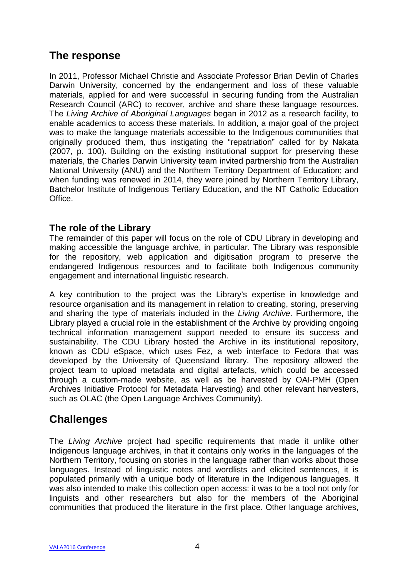## **The response**

In 2011, Professor Michael Christie and Associate Professor Brian Devlin of Charles Darwin University, concerned by the endangerment and loss of these valuable materials, applied for and were successful in securing funding from the Australian Research Council (ARC) to recover, archive and share these language resources. The *Living Archive of Aboriginal Languages* began in 2012 as a research facility, to enable academics to access these materials. In addition, a major goal of the project was to make the language materials accessible to the Indigenous communities that originally produced them, thus instigating the "repatriation" called for by Nakata (2007, p. 100). Building on the existing institutional support for preserving these materials, the Charles Darwin University team invited partnership from the Australian National University (ANU) and the Northern Territory Department of Education; and when funding was renewed in 2014, they were joined by Northern Territory Library, Batchelor Institute of Indigenous Tertiary Education, and the NT Catholic Education Office.

### **The role of the Library**

The remainder of this paper will focus on the role of CDU Library in developing and making accessible the language archive, in particular. The Library was responsible for the repository, web application and digitisation program to preserve the endangered Indigenous resources and to facilitate both Indigenous community engagement and international linguistic research.

A key contribution to the project was the Library's expertise in knowledge and resource organisation and its management in relation to creating, storing, preserving and sharing the type of materials included in the *Living Archive*. Furthermore, the Library played a crucial role in the establishment of the Archive by providing ongoing technical information management support needed to ensure its success and sustainability. The CDU Library hosted the Archive in its institutional repository, known as CDU eSpace, which uses Fez, a web interface to Fedora that was developed by the University of Queensland library. The repository allowed the project team to upload metadata and digital artefacts, which could be accessed through a custom-made website, as well as be harvested by OAI-PMH (Open Archives Initiative Protocol for Metadata Harvesting) and other relevant harvesters, such as OLAC (the Open Language Archives Community).

## **Challenges**

The *Living Archive* project had specific requirements that made it unlike other Indigenous language archives, in that it contains only works in the languages of the Northern Territory, focusing on stories in the language rather than works about those languages. Instead of linguistic notes and wordlists and elicited sentences, it is populated primarily with a unique body of literature in the Indigenous languages. It was also intended to make this collection open access: it was to be a tool not only for linguists and other researchers but also for the members of the Aboriginal communities that produced the literature in the first place. Other language archives,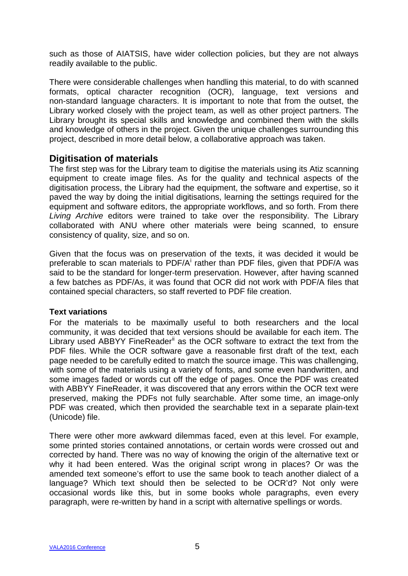such as those of AIATSIS, have wider collection policies, but they are not always readily available to the public.

There were considerable challenges when handling this material, to do with scanned formats, optical character recognition (OCR), language, text versions and non-standard language characters. It is important to note that from the outset, the Library worked closely with the project team, as well as other project partners. The Library brought its special skills and knowledge and combined them with the skills and knowledge of others in the project. Given the unique challenges surrounding this project, described in more detail below, a collaborative approach was taken.

### **Digitisation of materials**

The first step was for the Library team to digitise the materials using its Atiz scanning equipment to create image files. As for the quality and technical aspects of the digitisation process, the Library had the equipment, the software and expertise, so it paved the way by doing the initial digitisations, learning the settings required for the equipment and software editors, the appropriate workflows, and so forth. From there *Living Archive* editors were trained to take over the responsibility. The Library collaborated with ANU where other materials were being scanned, to ensure consistency of quality, size, and so on.

Given that the focus was on preservation of the texts, it was decided it would be preferable to scan mater[i](#page-15-0)als to PDF/A<sup>i</sup> rather than PDF files, given that PDF/A was said to be the standard for longer-term preservation. However, after having scanned a few batches as PDF/As, it was found that OCR did not work with PDF/A files that contained special characters, so staff reverted to PDF file creation.

#### **Text variations**

For the materials to be maximally useful to both researchers and the local community, it was decided that text versions should be available for each item. The Library used ABBYY FineReader<sup>[ii](#page-15-1)</sup> as the OCR software to extract the text from the PDF files. While the OCR software gave a reasonable first draft of the text, each page needed to be carefully edited to match the source image. This was challenging, with some of the materials using a variety of fonts, and some even handwritten, and some images faded or words cut off the edge of pages. Once the PDF was created with ABBYY FineReader, it was discovered that any errors within the OCR text were preserved, making the PDFs not fully searchable. After some time, an image-only PDF was created, which then provided the searchable text in a separate plain-text (Unicode) file.

There were other more awkward dilemmas faced, even at this level. For example, some printed stories contained annotations, or certain words were crossed out and corrected by hand. There was no way of knowing the origin of the alternative text or why it had been entered. Was the original script wrong in places? Or was the amended text someone's effort to use the same book to teach another dialect of a language? Which text should then be selected to be OCR'd? Not only were occasional words like this, but in some books whole paragraphs, even every paragraph, were re-written by hand in a script with alternative spellings or words.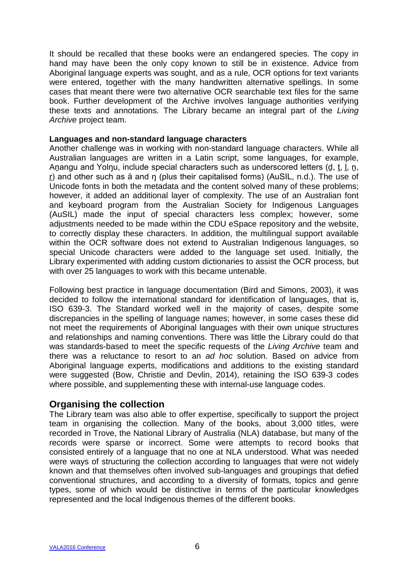It should be recalled that these books were an endangered species. The copy in hand may have been the only copy known to still be in existence. Advice from Aboriginal language experts was sought, and as a rule, OCR options for text variants were entered, together with the many handwritten alternative spellings. In some cases that meant there were two alternative OCR searchable text files for the same book. Further development of the Archive involves language authorities verifying these texts and annotations. The Library became an integral part of the *Living Archive* project team.

#### **Languages and non-standard language characters**

Another challenge was in working with non-standard language characters. While all Australian languages are written in a Latin script, some languages, for example, Anangu and Yolnu, include special characters such as underscored letters (d, t, l, n, r) and other such as ä and n (plus their capitalised forms) (AuSIL, n.d.). The use of Unicode fonts in both the metadata and the content solved many of these problems; however, it added an additional layer of complexity. The use of an Australian font and keyboard program from the Australian Society for Indigenous Languages (AuSIL) made the input of special characters less complex; however, some adjustments needed to be made within the CDU eSpace repository and the website, to correctly display these characters. In addition, the multilingual support available within the OCR software does not extend to Australian Indigenous languages, so special Unicode characters were added to the language set used. Initially, the Library experimented with adding custom dictionaries to assist the OCR process, but with over 25 languages to work with this became untenable.

Following best practice in language documentation (Bird and Simons, 2003), it was decided to follow the international standard for identification of languages, that is, ISO 639-3. The Standard worked well in the majority of cases, despite some discrepancies in the spelling of language names; however, in some cases these did not meet the requirements of Aboriginal languages with their own unique structures and relationships and naming conventions. There was little the Library could do that was standards-based to meet the specific requests of the *Living Archive* team and there was a reluctance to resort to an *ad hoc* solution. Based on advice from Aboriginal language experts, modifications and additions to the existing standard were suggested (Bow, Christie and Devlin, 2014), retaining the ISO 639-3 codes where possible, and supplementing these with internal-use language codes.

#### **Organising the collection**

The Library team was also able to offer expertise, specifically to support the project team in organising the collection. Many of the books, about 3,000 titles, were recorded in Trove, the National Library of Australia (NLA) database, but many of the records were sparse or incorrect. Some were attempts to record books that consisted entirely of a language that no one at NLA understood. What was needed were ways of structuring the collection according to languages that were not widely known and that themselves often involved sub-languages and groupings that defied conventional structures, and according to a diversity of formats, topics and genre types, some of which would be distinctive in terms of the particular knowledges represented and the local Indigenous themes of the different books.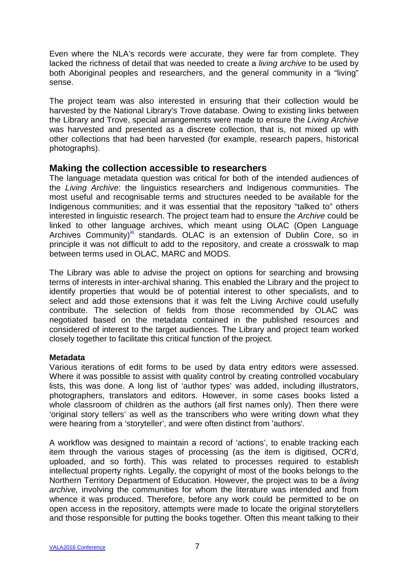Even where the NLA's records were accurate, they were far from complete. They lacked the richness of detail that was needed to create a *living archive* to be used by both Aboriginal peoples and researchers, and the general community in a "living" sense.

The project team was also interested in ensuring that their collection would be harvested by the National Library's Trove database. Owing to existing links between the Library and Trove, special arrangements were made to ensure the *Living Archive* was harvested and presented as a discrete collection, that is, not mixed up with other collections that had been harvested (for example, research papers, historical photographs).

#### **Making the collection accessible to researchers**

The language metadata question was critical for both of the intended audiences of the *Living Archive*: the linguistics researchers and Indigenous communities. The most useful and recognisable terms and structures needed to be available for the Indigenous communities; and it was essential that the repository "talked to" others interested in linguistic research. The project team had to ensure the *Archive* could be linked to other language archives, which meant using OLAC (Open Language Archives Community)<sup>[iii](#page-15-2)</sup> standards. OLAC is an extension of Dublin Core, so in principle it was not difficult to add to the repository, and create a crosswalk to map between terms used in OLAC, MARC and MODS.

The Library was able to advise the project on options for searching and browsing terms of interests in inter-archival sharing. This enabled the Library and the project to identify properties that would be of potential interest to other specialists, and to select and add those extensions that it was felt the Living Archive could usefully contribute. The selection of fields from those recommended by OLAC was negotiated based on the metadata contained in the published resources and considered of interest to the target audiences. The Library and project team worked closely together to facilitate this critical function of the project.

#### **Metadata**

Various iterations of edit forms to be used by data entry editors were assessed. Where it was possible to assist with quality control by creating controlled vocabulary lists, this was done. A long list of 'author types' was added, including illustrators, photographers, translators and editors. However, in some cases books listed a whole classroom of children as the authors (all first names only). Then there were 'original story tellers' as well as the transcribers who were writing down what they were hearing from a 'storyteller', and were often distinct from 'authors'.

A workflow was designed to maintain a record of 'actions', to enable tracking each item through the various stages of processing (as the item is digitised, OCR'd, uploaded, and so forth). This was related to processes required to establish intellectual property rights. Legally, the copyright of most of the books belongs to the Northern Territory Department of Education. However, the project was to be a *living archive,* involving the communities for whom the literature was intended and from whence it was produced. Therefore, before any work could be permitted to be on open access in the repository, attempts were made to locate the original storytellers and those responsible for putting the books together. Often this meant talking to their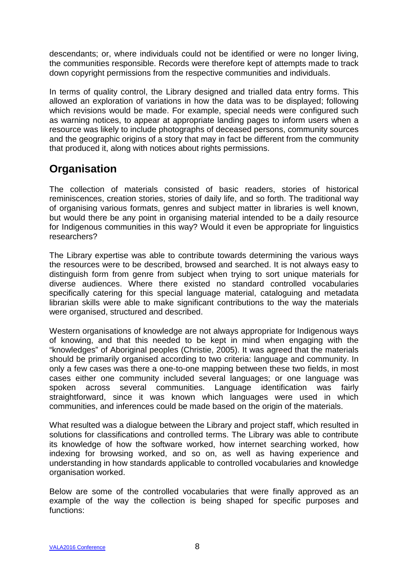descendants; or, where individuals could not be identified or were no longer living, the communities responsible. Records were therefore kept of attempts made to track down copyright permissions from the respective communities and individuals.

In terms of quality control, the Library designed and trialled data entry forms. This allowed an exploration of variations in how the data was to be displayed; following which revisions would be made. For example, special needs were configured such as warning notices, to appear at appropriate landing pages to inform users when a resource was likely to include photographs of deceased persons, community sources and the geographic origins of a story that may in fact be different from the community that produced it, along with notices about rights permissions.

# **Organisation**

The collection of materials consisted of basic readers, stories of historical reminiscences, creation stories, stories of daily life, and so forth. The traditional way of organising various formats, genres and subject matter in libraries is well known, but would there be any point in organising material intended to be a daily resource for Indigenous communities in this way? Would it even be appropriate for linguistics researchers?

The Library expertise was able to contribute towards determining the various ways the resources were to be described, browsed and searched. It is not always easy to distinguish form from genre from subject when trying to sort unique materials for diverse audiences. Where there existed no standard controlled vocabularies specifically catering for this special language material, cataloguing and metadata librarian skills were able to make significant contributions to the way the materials were organised, structured and described.

Western organisations of knowledge are not always appropriate for Indigenous ways of knowing, and that this needed to be kept in mind when engaging with the "knowledges" of Aboriginal peoples (Christie, 2005). It was agreed that the materials should be primarily organised according to two criteria: language and community. In only a few cases was there a one-to-one mapping between these two fields, in most cases either one community included several languages; or one language was spoken across several communities. Language identification was fairly straightforward, since it was known which languages were used in which communities, and inferences could be made based on the origin of the materials.

What resulted was a dialogue between the Library and project staff, which resulted in solutions for classifications and controlled terms. The Library was able to contribute its knowledge of how the software worked, how internet searching worked, how indexing for browsing worked, and so on, as well as having experience and understanding in how standards applicable to controlled vocabularies and knowledge organisation worked.

Below are some of the controlled vocabularies that were finally approved as an example of the way the collection is being shaped for specific purposes and functions: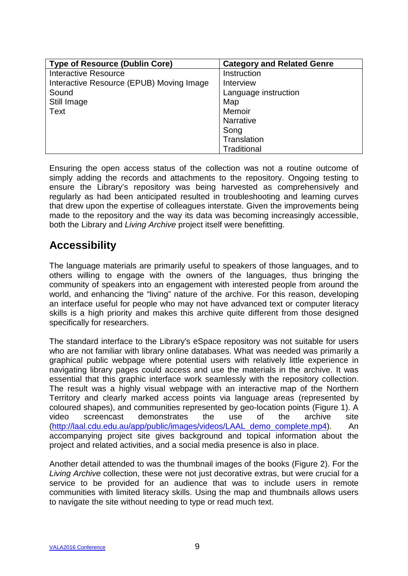| <b>Type of Resource (Dublin Core)</b>    | <b>Category and Related Genre</b> |
|------------------------------------------|-----------------------------------|
| <b>Interactive Resource</b>              | Instruction                       |
| Interactive Resource (EPUB) Moving Image | Interview                         |
| Sound                                    | Language instruction              |
| Still Image                              | Map                               |
| Text                                     | Memoir                            |
|                                          | <b>Narrative</b>                  |
|                                          | Song                              |
|                                          | Translation                       |
|                                          | Traditional                       |

Ensuring the open access status of the collection was not a routine outcome of simply adding the records and attachments to the repository. Ongoing testing to ensure the Library's repository was being harvested as comprehensively and regularly as had been anticipated resulted in troubleshooting and learning curves that drew upon the expertise of colleagues interstate. Given the improvements being made to the repository and the way its data was becoming increasingly accessible, both the Library and *Living Archive* project itself were benefitting.

## **Accessibility**

The language materials are primarily useful to speakers of those languages, and to others willing to engage with the owners of the languages, thus bringing the community of speakers into an engagement with interested people from around the world, and enhancing the "living" nature of the archive. For this reason, developing an interface useful for people who may not have advanced text or computer literacy skills is a high priority and makes this archive quite different from those designed specifically for researchers.

The standard interface to the Library's eSpace repository was not suitable for users who are not familiar with library online databases. What was needed was primarily a graphical public webpage where potential users with relatively little experience in navigating library pages could access and use the materials in the archive. It was essential that this graphic interface work seamlessly with the repository collection. The result was a highly visual webpage with an interactive map of the Northern Territory and clearly marked access points via language areas (represented by coloured shapes), and communities represented by geo-location points (Figure 1). A video screencast demonstrates the use of the archive site [\(http://laal.cdu.edu.au/app/public/images/videos/LAAL\\_demo\\_complete.mp4\)](http://laal.cdu.edu.au/app/public/images/videos/LAAL_demo_complete.mp4). An accompanying project site gives background and topical information about the project and related activities, and a social media presence is also in place.

Another detail attended to was the thumbnail images of the books (Figure 2). For the *Living Archive* collection, these were not just decorative extras, but were crucial for a service to be provided for an audience that was to include users in remote communities with limited literacy skills. Using the map and thumbnails allows users to navigate the site without needing to type or read much text.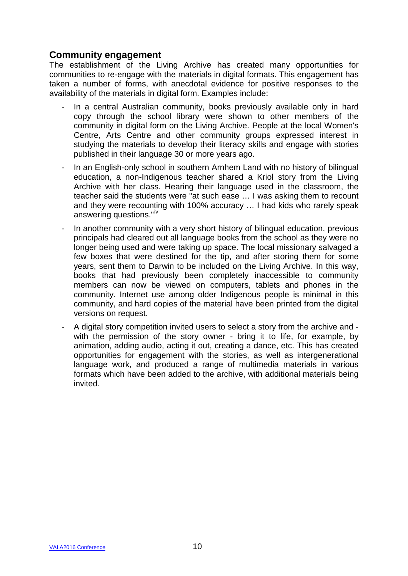### **Community engagement**

The establishment of the Living Archive has created many opportunities for communities to re-engage with the materials in digital formats. This engagement has taken a number of forms, with anecdotal evidence for positive responses to the availability of the materials in digital form. Examples include:

- In a central Australian community, books previously available only in hard copy through the school library were shown to other members of the community in digital form on the Living Archive. People at the local Women's Centre, Arts Centre and other community groups expressed interest in studying the materials to develop their literacy skills and engage with stories published in their language 30 or more years ago.
- In an English-only school in southern Arnhem Land with no history of bilingual education, a non-Indigenous teacher shared a Kriol story from the Living Archive with her class. Hearing their language used in the classroom, the teacher said the students were "at such ease … I was asking them to recount and they were recounting with 100% accuracy … I had kids who rarely speak answering questions."<sup>[iv](#page-15-3)</sup>
- In another community with a very short history of bilingual education, previous principals had cleared out all language books from the school as they were no longer being used and were taking up space. The local missionary salvaged a few boxes that were destined for the tip, and after storing them for some years, sent them to Darwin to be included on the Living Archive. In this way, books that had previously been completely inaccessible to community members can now be viewed on computers, tablets and phones in the community. Internet use among older Indigenous people is minimal in this community, and hard copies of the material have been printed from the digital versions on request.
- A digital story competition invited users to select a story from the archive and with the permission of the story owner - bring it to life, for example, by animation, adding audio, acting it out, creating a dance, etc. This has created opportunities for engagement with the stories, as well as intergenerational language work, and produced a range of multimedia materials in various formats which have been added to the archive, with additional materials being invited.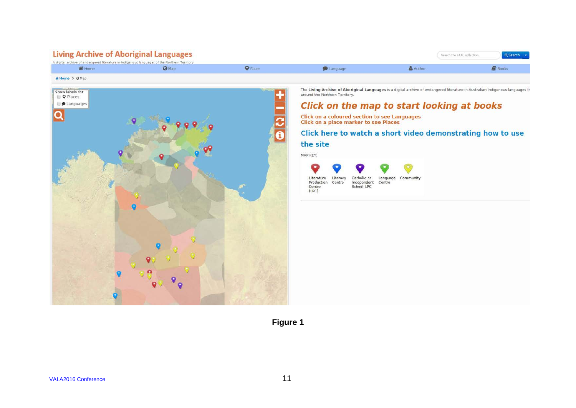| <b>Living Archive of Aboriginal Languages</b>                                                |  |                             |                   |        | Q Search -<br>Search the LAAL collection |  |
|----------------------------------------------------------------------------------------------|--|-----------------------------|-------------------|--------|------------------------------------------|--|
| A digital archive of endangered literature in Indigenous languages of the Northern Territory |  |                             |                   |        |                                          |  |
| <b>备 Home</b>                                                                                |  | $\mathbf{\mathsf{P}}$ Place | <b>B</b> Language | Author | <b>N</b> Books                           |  |
| # Home > @ Map                                                                               |  |                             |                   |        |                                          |  |



The Living Archive of Aboriginal Languages is a digital archive of endangered literature in Australian Indigenous languages fr

### Click on the map to start looking at books

Click here to watch a short video demonstrating how to use

**Figure 1**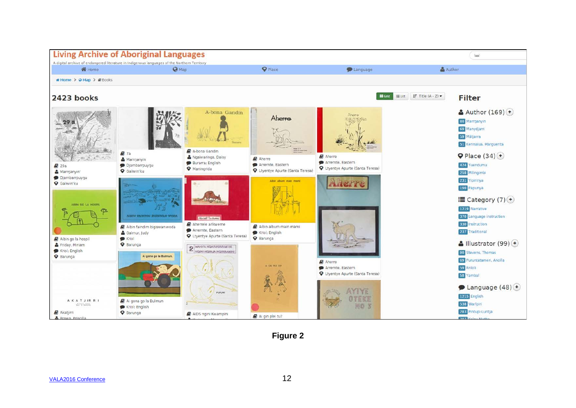

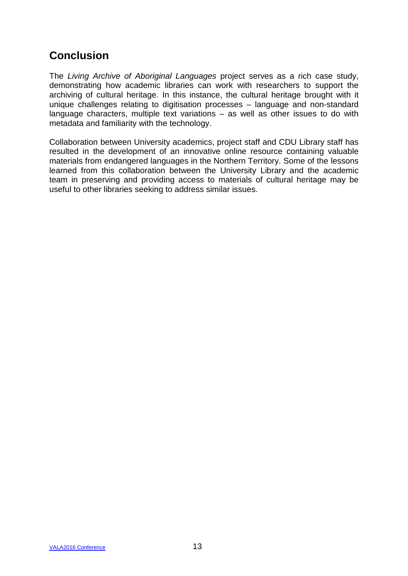# **Conclusion**

The *Living Archive of Aboriginal Languages* project serves as a rich case study, demonstrating how academic libraries can work with researchers to support the archiving of cultural heritage. In this instance, the cultural heritage brought with it unique challenges relating to digitisation processes – language and non-standard language characters, multiple text variations – as well as other issues to do with metadata and familiarity with the technology.

Collaboration between University academics, project staff and CDU Library staff has resulted in the development of an innovative online resource containing valuable materials from endangered languages in the Northern Territory. Some of the lessons learned from this collaboration between the University Library and the academic team in preserving and providing access to materials of cultural heritage may be useful to other libraries seeking to address similar issues.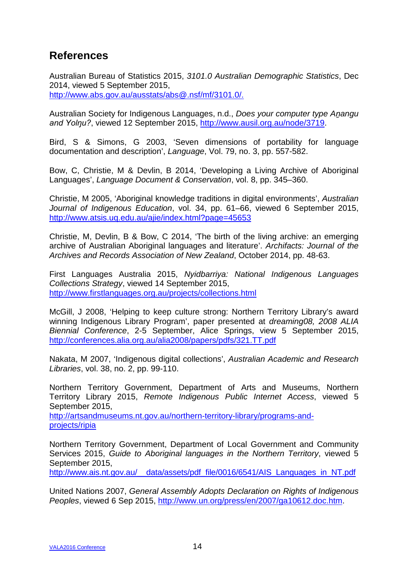## **References**

Australian Bureau of Statistics 2015, *3101.0 Australian Demographic Statistics*, Dec 2014, viewed 5 September 2015, [http://www.abs.gov.au/ausstats/abs@.nsf/mf/3101.0/.](http://www.abs.gov.au/ausstats/abs@.nsf/mf/3101.0/)

Australian Society for Indigenous Languages, n.d., *Does your computer type Aṉangu and Yolŋu?*, viewed 12 September 2015, [http://www.ausil.org.au/node/3719.](http://www.ausil.org.au/node/3719)

Bird, S & Simons, G 2003, 'Seven dimensions of portability for language documentation and description', *Language*, Vol. 79, no. 3, pp. 557-582.

Bow, C, Christie, M & Devlin, B 2014, 'Developing a Living Archive of Aboriginal Languages', *Language Document & Conservation*, vol. 8, pp. 345–360.

Christie, M 2005, 'Aboriginal knowledge traditions in digital environments', *Australian Journal of Indigenous Education*, vol. 34, pp. 61–66, viewed 6 September 2015, <http://www.atsis.uq.edu.au/ajie/index.html?page=45653>

Christie, M, Devlin, B & Bow, C 2014, 'The birth of the living archive: an emerging archive of Australian Aboriginal languages and literature'. *Archifacts: Journal of the Archives and Records Association of New Zealand*, October 2014, pp. 48-63.

First Languages Australia 2015, *Nyidbarriya: National Indigenous Languages Collections Strategy*, viewed 14 September 2015, <http://www.firstlanguages.org.au/projects/collections.html>

McGill, J 2008, 'Helping to keep culture strong: Northern Territory Library's award winning Indigenous Library Program', paper presented at *dreaming08, 2008 ALIA Biennial Conference*, 2-5 September, Alice Springs, view 5 September 2015, <http://conferences.alia.org.au/alia2008/papers/pdfs/321.TT.pdf>

Nakata, M 2007, 'Indigenous digital collections', *Australian Academic and Research Libraries*, vol. 38, no. 2, pp. 99-110.

Northern Territory Government, Department of Arts and Museums, Northern Territory Library 2015, *Remote Indigenous Public Internet Access*, viewed 5 September 2015,

[http://artsandmuseums.nt.gov.au/northern-territory-library/programs-and](http://artsandmuseums.nt.gov.au/northern-territory-library/programs-and-projects/ripia)[projects/ripia](http://artsandmuseums.nt.gov.au/northern-territory-library/programs-and-projects/ripia)

Northern Territory Government, Department of Local Government and Community Services 2015, *Guide to Aboriginal languages in the Northern Territory*, viewed 5 September 2015,

http://www.ais.nt.gov.au/ data/assets/pdf file/0016/6541/AIS Languages in NT.pdf

United Nations 2007, *General Assembly Adopts Declaration on Rights of Indigenous Peoples*, viewed 6 Sep 2015, [http://www.un.org/press/en/2007/ga10612.doc.htm.](http://www.un.org/press/en/2007/ga10612.doc.htm)